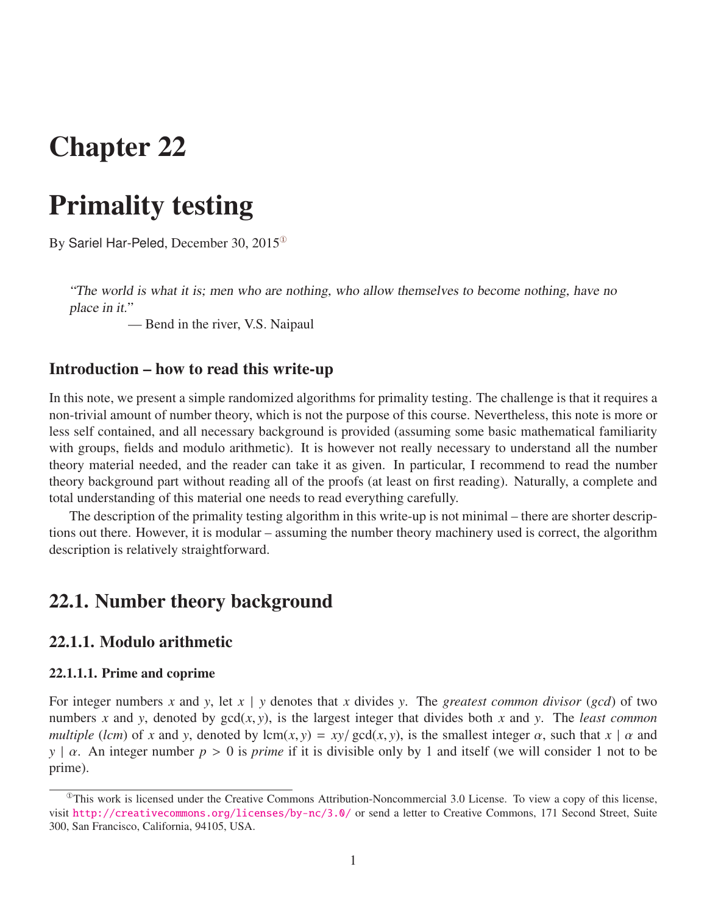# Chapter 22

# Primality testing

By Sariel Har-Peled, December 30, 2015[①](#page-0-0)

"The world is what it is; men who are nothing, who allow themselves to become nothing, have no place in it."

— Bend in the river, V.S. Naipaul

### Introduction – how to read this write-up

In this note, we present a simple randomized algorithms for primality testing. The challenge is that it requires a non-trivial amount of number theory, which is not the purpose of this course. Nevertheless, this note is more or less self contained, and all necessary background is provided (assuming some basic mathematical familiarity with groups, fields and modulo arithmetic). It is however not really necessary to understand all the number theory material needed, and the reader can take it as given. In particular, I recommend to read the number theory background part without reading all of the proofs (at least on first reading). Naturally, a complete and total understanding of this material one needs to read everything carefully.

The description of the primality testing algorithm in this write-up is not minimal – there are shorter descriptions out there. However, it is modular – assuming the number theory machinery used is correct, the algorithm description is relatively straightforward.

### 22.1. Number theory background

### 22.1.1. Modulo arithmetic

### 22.1.1.1. Prime and coprime

For integer numbers *x* and *y*, let  $x \mid y$  denotes that *x* divides *y*. The *greatest common divisor* (*gcd*) of two numbers *x* and *y*, denoted by  $gcd(x, y)$ , is the largest integer that divides both *x* and *y*. The *least common multiple* (*lcm*) of *x* and *y*, denoted by lcm(*x*, *y*) = *xy*/ gcd(*x*, *y*), is the smallest integer  $\alpha$ , such that  $x | \alpha$  and *<sup>y</sup>* <sup>|</sup> α. An integer number *<sup>p</sup>* > 0 is *prime* if it is divisible only by 1 and itself (we will consider 1 not to be prime).

<span id="page-0-0"></span> $^{\circ}$ This work is licensed under the Creative Commons Attribution-Noncommercial 3.0 License. To view a copy of this license, visit <http://creativecommons.org/licenses/by-nc/3.0/> or send a letter to Creative Commons, 171 Second Street, Suite 300, San Francisco, California, 94105, USA.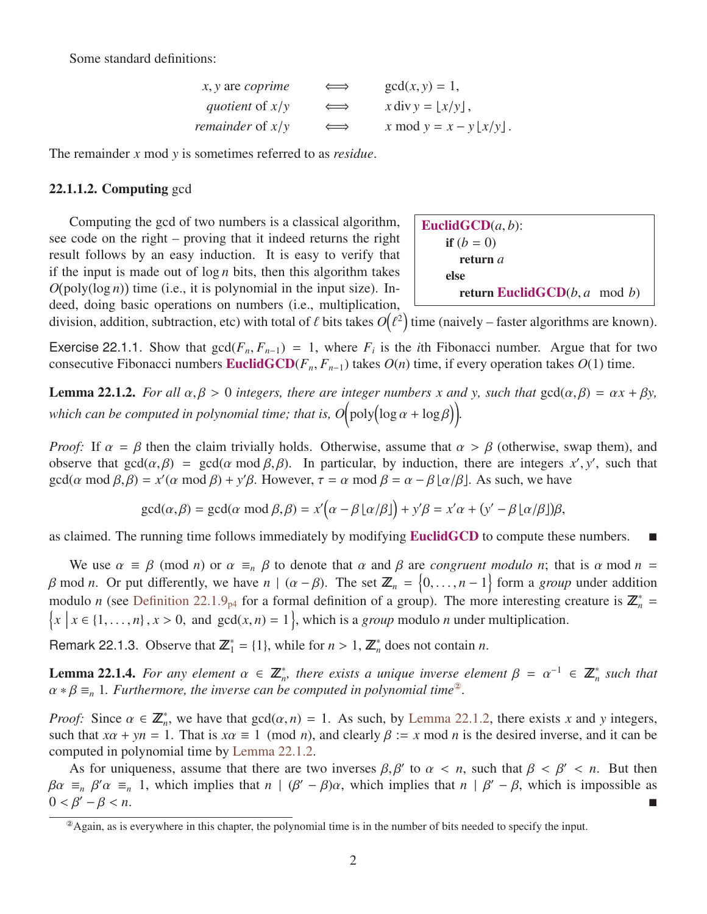Some standard definitions:

| $\Longleftrightarrow$ | $gcd(x, y) = 1$ ,                       |
|-----------------------|-----------------------------------------|
| $\Longleftrightarrow$ | $x \operatorname{div} y =  x/y $ ,      |
| $\Longleftrightarrow$ | x mod $y = x - y \lfloor x/y \rfloor$ . |
|                       |                                         |

The remainder *x* mod *y* is sometimes referred to as *residue*.

### 22.1.1.2. Computing gcd

Computing the gcd of two numbers is a classical algorithm, see code on the right – proving that it indeed returns the right result follows by an easy induction. It is easy to verify that if the input is made out of  $\log n$  bits, then this algorithm takes  $O(\text{poly}(\log n))$  time (i.e., it is polynomial in the input size). Indeed, doing basic operations on numbers (i.e., multiplication,

**EuclidGCD**
$$
(a, b)
$$
:  
\nif  $(b = 0)$   
\nreturn  $a$   
\nelse  
\nreturn EuclidGCD $(b, a \mod b)$ 

division, addition, subtraction, etc) with total of  $\ell$  bits takes  $O$ <sup>2</sup>) time (naively – faster algorithms are known).

Exercise 22.1.1. Show that  $gcd(F_n, F_{n-1}) = 1$ , where  $F_i$  is the *i*th Fibonacci number. Argue that for two consecutive Fibonacci numbers **Fuglid CCD** $(F, F)$ , takes  $O(n)$  time if every operation takes  $O(1)$  time consecutive Fibonacci numbers **EuclidGCD**( $F_n$ ,  $F_{n-1}$ ) takes  $O(n)$  time, if every operation takes  $O(1)$  time.

<span id="page-1-1"></span>**Lemma 22.1.2.** *For all*  $\alpha, \beta > 0$  *integers, there are integer numbers x and y, such that*  $gcd(\alpha, \beta) = \alpha x + \beta y$ , which can be computed in polynomial time; that is,  $O(poly(log \alpha + log \beta))$ .

*Proof:* If  $\alpha = \beta$  then the claim trivially holds. Otherwise, assume that  $\alpha > \beta$  (otherwise, swap them), and observe that gcd(*α*, β) = gcd(*α* mod β, β). In particular, by induction, there are integers *x'*, *y'*, such that  $gcd(\alpha \mod \beta, \beta) = r'(\alpha \mod \beta) + v' \beta$ . However  $\tau = \alpha \mod \beta = \alpha - \beta |\alpha| \beta|$ . As such we have gcd( $\alpha$  mod  $\beta$ , $\beta$ ) =  $x'(\alpha$  mod  $\beta$ ) +  $y'\beta$ . However,  $\tau = \alpha$  mod  $\beta = \alpha - \beta \lfloor \alpha/\beta \rfloor$ . As such, we have

> $gcd(\alpha, \beta) = gcd(\alpha \mod \beta, \beta) = x'(\alpha - \beta \lfloor \alpha/\beta \rfloor) + y'\beta = x'\alpha + (y' - \beta \lfloor \alpha/\beta \rfloor)$  $\overline{a}$

as claimed. The running time follows immediately by modifying **EuclidGCD** to compute these numbers.

We use  $\alpha \equiv \beta \pmod{n}$  or  $\alpha \equiv_n \beta$  to denote that  $\alpha$  and  $\beta$  are *congruent modulo n*; that is  $\alpha$  mod  $n =$ β mod *n*. Or put differently, we have *n* | ( $\alpha - \beta$ ). The set  $\mathbb{Z}_n = \{0, ..., n-1\}$  form a *group* under addition modulo *n* (see Definition 22.1.0) for a formal definition of a group). The more interesting groups is modulo *n* (see [Definition 22.1.9](#page-3-0)<sub>[p4](#page-3-0)</sub> for a formal definition of a group). The more interesting creature is  $\mathbb{Z}_n^* = \{x \mid x \in \{1, ..., n\}, x > 0\}$  and  $gcd(x, n) = 1\}$ , which is a *group* modulo *n* under multiplication.  $x \mid x \in \{1, ..., n\}, x > 0$ , and  $gcd(x, n) = 1\}$ , which is a *group* modulo *n* under multiplication.

<span id="page-1-2"></span>Remark 22.1.3. Observe that  $\mathbb{Z}_1^* = \{1\}$ , while for  $n > 1$ ,  $\mathbb{Z}_n^*$  does not contain *n*.

**Lemma 22.1.4.** For any element  $\alpha \in \mathbb{Z}_n^*$ , there exists a unique inverse element  $\beta = \alpha^{-1} \in \mathbb{Z}_n^*$  such that  $\alpha * \beta = 1$ . Furthermore, the inverse can be computed in polynomial time<sup>®</sup>  $\alpha * \beta \equiv_n 1$ *. Furthermore, the inverse can be computed in polynomial time*<sup>2</sup>.

*Proof:* Since  $\alpha \in \mathbb{Z}_n^*$ , we have that  $gcd(\alpha, n) = 1$ . As such, by [Lemma 22.1.2,](#page-1-1) there exists *x* and *y* integers, such that  $x\alpha + yn = 1$ . That is  $x\alpha = 1$  (mod *n*) and clearly  $\beta := x \mod n$  is the desired inverse, and it such that  $x\alpha + yn = 1$ . That is  $x\alpha \equiv 1 \pmod{n}$ , and clearly  $\beta := x \pmod{n}$  is the desired inverse, and it can be computed in polynomial time by [Lemma 22.1.2.](#page-1-1)

As for uniqueness, assume that there are two inverses  $\beta$ ,  $\beta'$  to  $\alpha < n$ , such that  $\beta < \beta' < n$ . But then  $\beta' \geq \beta'$  which is impossible as  $\beta \alpha \equiv_n \beta' \alpha \equiv_n 1$ , which implies that  $n | (\beta' - \beta) \alpha$ , which implies that  $n | \beta' - \beta$ , which is impossible as  $0 \le \beta' - \beta \le n$  $0 < \beta' - \beta < n$ .

<span id="page-1-0"></span> $^{\circ}$ Again, as is everywhere in this chapter, the polynomial time is in the number of bits needed to specify the input.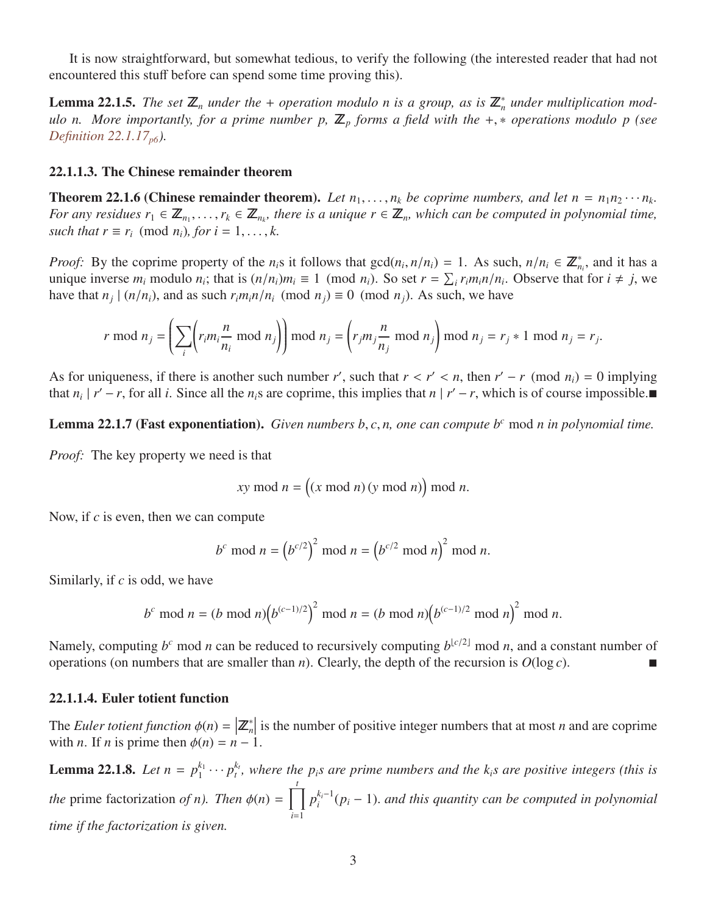It is now straightforward, but somewhat tedious, to verify the following (the interested reader that had not encountered this stuff before can spend some time proving this).

**Lemma 22.1.5.** The set  $\mathbb{Z}_n$  under the + operation modulo n is a group, as is  $\mathbb{Z}_n^*$  under multiplication mod*ulo n. More importantly, for a prime number p,*  $\mathbb{Z}_p$  *forms a field with the* +,  $*$  *operations modulo p (see [Definition 22.1.17](#page-5-0)[p6](#page-5-0)).*

#### 22.1.1.3. The Chinese remainder theorem

<span id="page-2-0"></span>**Theorem 22.1.6 (Chinese remainder theorem).** Let  $n_1, \ldots, n_k$  be coprime numbers, and let  $n = n_1 n_2 \cdots n_k$ .<br>For any residues  $r_i \in \mathbb{Z}$  *r.*  $\in \mathbb{Z}$  there is a unique  $r \in \mathbb{Z}$  which can be computed in polynomial t *For any residues*  $r_1 \in \mathbb{Z}_{n_1}, \ldots, r_k \in \mathbb{Z}_{n_k}$ , there is a unique  $r \in \mathbb{Z}_n$ , which can be computed in polynomial time, such that  $r \equiv r$ . (mod n.) for  $i = 1 - k$ *such that*  $r \equiv r_i \pmod{n_i}$ , for  $i = 1, \ldots, k$ .

*Proof:* By the coprime property of the *n<sub>i</sub>*s it follows that  $gcd(n_i, n/n_i) = 1$ . As such,  $n/n_i \in \mathbb{Z}_{n_i}^*$ , and it has a unique inverse *m*, modulo *n*; that is  $(n/n)$   $m_i = 1 \pmod{n}$ . So set  $r - \sum r_i m_i n/n$ . Observe that for  $i$ unique inverse  $m_i$  modulo  $n_i$ ; that is  $(n/n_i)m_i \equiv 1 \pmod{n_i}$ . So set  $r = \sum_i r_i m_i n/n_i$ . Observe that for  $i \neq j$ , we have that  $n_i + (n/n_i)$  and as such  $r_i m_i n/n_i$ . (mod  $n_i$ ) = 0 (mod n) As such we have have that  $n_j \mid (n/n_i)$ , and as such  $r_i m_i n/n_i \pmod{n_j} \equiv 0 \pmod{n_j}$ . As such, we have

$$
r \bmod n_j = \left(\sum_i \left(r_i m_i \frac{n}{n_i} \bmod n_j\right)\right) \bmod n_j = \left(r_j m_j \frac{n}{n_j} \bmod n_j\right) \bmod n_j = r_j * 1 \bmod n_j = r_j.
$$

As for uniqueness, if there is another such number *r'*, such that  $r < r' < n$ , then  $r' - r$  (mod  $n_i$ ) = 0 implying that  $n \mid r' - r$  for all *i*. Since all the *n* s are contine this implies that  $n \mid r' - r$  which is of course i that  $n_i | r'-r$ , for all *i*. Since all the  $n_i$  are coprime, this implies that  $n | r'-r$ , which is of course impossible.

<span id="page-2-2"></span>Lemma 22.1.7 (Fast exponentiation). *Given numbers b*, *<sup>c</sup>*, *n, one can compute b<sup>c</sup>* mod *n in polynomial time.*

*Proof:* The key property we need is that

$$
xy \bmod n = ((x \bmod n) (y \bmod n)) \bmod n.
$$

Now, if *c* is even, then we can compute

$$
b^c \bmod n = (b^{c/2})^2 \bmod n = (b^{c/2} \bmod n)^2 \bmod n.
$$

Similarly, if *c* is odd, we have

$$
b^c \mod n = (b \mod n) (b^{(c-1)/2})^2 \mod n = (b \mod n) (b^{(c-1)/2} \mod n)^2 \mod n.
$$

Namely, computing  $b^c$  mod *n* can be reduced to recursively computing  $b^{\lfloor c/2 \rfloor}$  mod *n*, and a constant number of operations (on numbers that are smaller than *n*). Clearly, the depth of the recursion is  $O(\log c)$ .

#### 22.1.1.4. Euler totient function

The *Euler totient function*  $\phi(n) = \left| \mathbb{Z}_n^* \right|$  is the number of positive integer numbers that at most *n* and are coprime with *n*. If *n* is prime then  $\phi(n) = n - 1$ with *n*. If *n* is prime then  $\phi(n) = n - 1$ .

<span id="page-2-1"></span>**Lemma 22.1.8.** *Let*  $n = p_1^{k_1}$  $p_1^{k_1} \cdots p_t^{k_t}$ , where the  $p_i$ *s* are prime numbers and the  $k_i$ *s* are positive integers (this is *the* prime factorization *of n*). Then  $\phi(n)$  =  $\prod^t$ *i*=1  $p_i^{k_i-1}$ *i* (*p<sup>i</sup>* <sup>−</sup> 1). *and this quantity can be computed in polynomial time if the factorization is given.*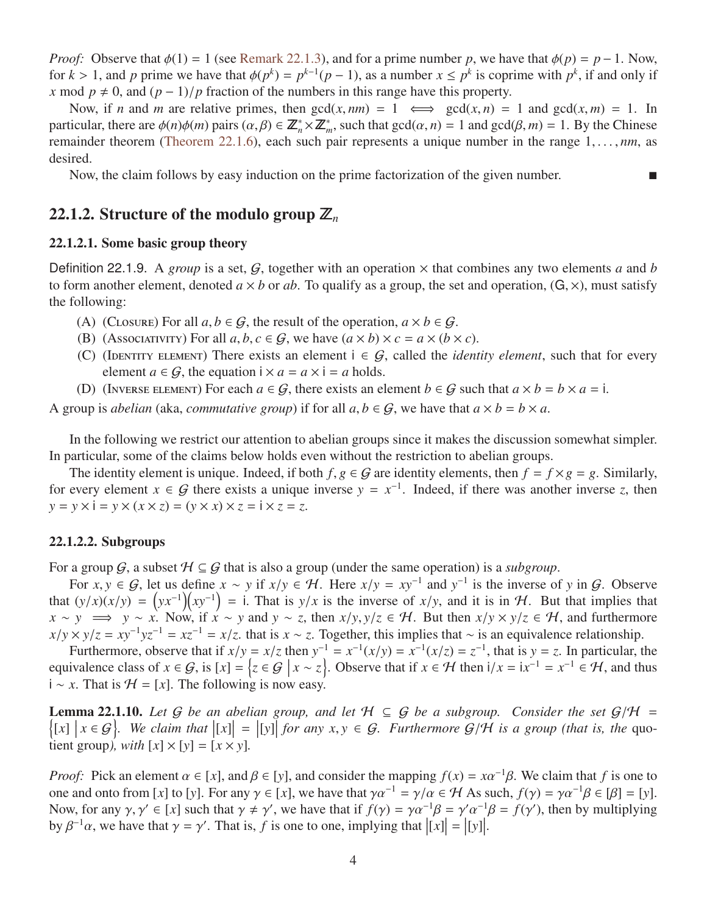*Proof:* Observe that  $\phi(1) = 1$  (see [Remark 22.1.3\)](#page-1-2), and for a prime number *p*, we have that  $\phi(p) = p - 1$ . Now, for  $k > 1$ , and *p* prime we have that  $\phi(p^k) = p^{k-1}(p-1)$ , as a number  $x \le p^k$  is coprime with  $p^k$ , if and only if <br>*x* mod  $p \ne 0$  and  $(p-1)/p$  fraction of the numbers in this range have this property *x* mod  $p \neq 0$ , and  $(p - 1)/p$  fraction of the numbers in this range have this property.

Now, if *n* and *m* are relative primes, then  $gcd(x, nm) = 1 \iff gcd(x, n) = 1$  and  $gcd(x, m) = 1$ . In particular, there are  $\phi(n)\phi(m)$  pairs  $(\alpha, \beta) \in \mathbb{Z}_n^* \times \mathbb{Z}_m^*$ , such that  $gcd(\alpha, n) = 1$  and  $gcd(\beta, m) = 1$ . By the Chinese remainder theorem [\(Theorem 22.1.6\)](#page-2-0), each such pair represents a unique number in the range 1, ..., *nm*, as desired.

Now, the claim follows by easy induction on the prime factorization of the given number.

### 22.1.2. Structure of the modulo group  $\mathbb{Z}_n$

### 22.1.2.1. Some basic group theory

<span id="page-3-0"></span>Definition 22.1.9. A *group* is a set,  $G$ , together with an operation  $\times$  that combines any two elements a and b to form another element, denoted  $a \times b$  or  $ab$ . To qualify as a group, the set and operation,  $(G, \times)$ , must satisfy the following:

- (A) (CLOSURE) For all  $a, b \in \mathcal{G}$ , the result of the operation,  $a \times b \in \mathcal{G}$ .
- (B) (Associativity) For all  $a, b, c \in G$ , we have  $(a \times b) \times c = a \times (b \times c)$ .
- (C) (IDENTITY ELEMENT) There exists an element  $i \in G$ , called the *identity element*, such that for every element  $a \in \mathcal{G}$ , the equation  $i \times a = a \times i = a$  holds.
- (D) (INVERSE ELEMENT) For each  $a \in G$ , there exists an element  $b \in G$  such that  $a \times b = b \times a = i$ .

A group is *abelian* (aka, *commutative group*) if for all  $a, b \in G$ , we have that  $a \times b = b \times a$ .

In the following we restrict our attention to abelian groups since it makes the discussion somewhat simpler. In particular, some of the claims below holds even without the restriction to abelian groups.

The identity element is unique. Indeed, if both  $f, g \in G$  are identity elements, then  $f = f \times g = g$ . Similarly, for every element  $x \in G$  there exists a unique inverse  $y = x^{-1}$ . Indeed, if there was another inverse *z*, then  $y = y \times i = y \times (x \times z) = (y \times x) \times z = i \times z = z.$ 

#### 22.1.2.2. Subgroups

For a group  $G$ , a subset  $H \subseteq G$  that is also a group (under the same operation) is a *subgroup*.

For *x*, *y* ∈ G, let us define *x* ∼ *y* if *x*/*y* ∈ H. Here *x*/*y* = *xy*<sup>-1</sup> and *y*<sup>-1</sup> is the inverse of *y* in G. Observe  $(y/x)(y) - (yx^{-1})(xy^{-1}) - i$  That is *y*/*x* is the inverse of *x*/*y* and it is in H. But that imp that  $(y/x)(x/y) = (yx^{-1})(xy^{-1}) = 1$ . That is  $y/x$  is the inverse of  $x/y$ , and it is in H. But that implies that  $x \approx y \implies y \approx x$ . Now if  $x \approx y$  and  $y \approx z$  then  $x/y \le z \in H$ . But then  $x/y \times y/z \in H$  and furthermore *x* ∼ *y*  $\implies$  *y* ∼ *x*. Now, if *x* ∼ *y* and *y* ∼ *z*, then *x*/*y*, *y*/*z* ∈ *H*. But then *x*/*y* × *y*/*z* ∈ *H*, and furthermore  $x/y \times y/z = xy^{-1}yz^{-1} = xz^{-1} = x/z$ . that is  $x \sim z$ . Together, this implies that ∼ is an equivalence relationship.<br>Furthermore, observe that if  $x/y = x/z$  then  $y^{-1} = x^{-1}(x/y) = x^{-1}(x/z) = z^{-1}$ , that is  $y = z$ . In particular, t

Furthermore, observe that if  $x/y = x/z$  then  $y^{-1} = x^{-1}(x/y) = x^{-1}(x/z) = z^{-1}$ , that is  $y = z$ . In particular, the equivalence class of  $x \in G$ , is  $[x] = \{z \in G \mid x \sim z\}$ . Observe that if  $x \in H$  then  $i/x = ix^{-1} = x^{-1} \in H$ , and thus  $i \sim x$ .  $x^{-1} = x^{-1}(x/y) = x^{-1}(x/z) = z^{-1}$ i ~ *x*. That is  $H = [x]$ . The following is now easy.

<span id="page-3-1"></span>**Lemma 22.1.10.** Let G be an abelian group, and let  $H \subseteq G$  be a subgroup. Consider the set  $G/H =$ <br> $\int [x] |x \in G|$  We claim that  $\|x\| = \lim_{\epsilon \to 0} \int \epsilon \epsilon$  any  $x, y \in G$ . Furthermore  $G/H$  is a group (that is the guo- $\left\{ [x] \mid x \in \mathcal{G} \right\}$ . We claim that  $\left| [x] \right| = \left| [y] \right|$  for any  $x, y \in \mathcal{G}$ . Furthermore  $\mathcal{G}/\mathcal{H}$  is a group (that is, the quotient group) with  $\left[ x \right] \times \left[ y \right] = \left[ x \times y \right]$ tient group), with  $[x] \times [y] = [x \times y]$ .

*Proof:* Pick an element  $\alpha \in [x]$ , and  $\beta \in [y]$ , and consider the mapping  $f(x) = x\alpha^{-1}\beta$ . We claim that *f* is one to one and onto from [*x*] to [*y*]. For any  $\alpha \in [x]$ , we have that  $\alpha \alpha^{-1} = \alpha/\alpha \in H$  As such  $f(\alpha) = \alpha \alpha$ one and onto from [*x*] to [*y*]. For any  $\gamma \in [x]$ , we have that  $\gamma \alpha^{-1} = \gamma/\alpha \in \mathcal{H}$  As such,  $f(\gamma) = \gamma \alpha^{-1} \beta \in [\beta] = [y]$ . Now, for any  $\gamma$ ,  $\gamma' \in [x]$  such that  $\gamma \neq \gamma'$ , we have that if  $f(\gamma) = \gamma \alpha^{-1} \beta = \gamma' \alpha^{-1} \beta = f(\gamma')$ , then by multiplying by  $\beta^{-1} \alpha$ , we have that  $\gamma = \gamma'$ . That is f is one to one, implying that  $|f(x)| = |f(y)|$ by  $\beta^{-1}\alpha$ , we have that  $\gamma = \gamma'$ . That is, *f* is one to one, implying that  $| [x] | = | [y] |$ .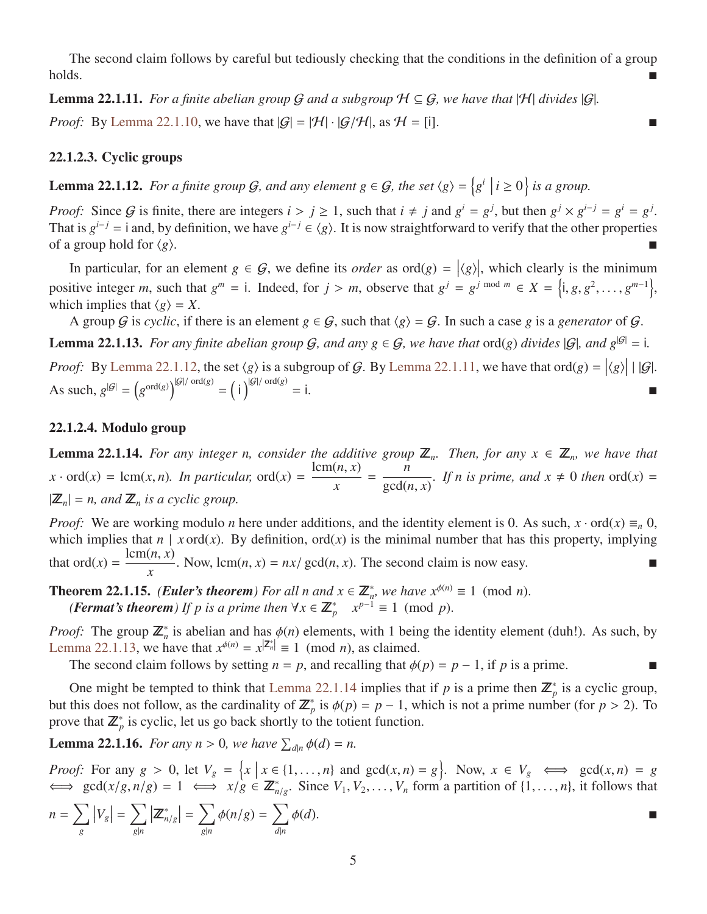The second claim follows by careful but tediously checking that the conditions in the definition of a group holds.

<span id="page-4-1"></span>**Lemma 22.1.11.** *For a finite abelian group* G *and a subgroup*  $H \subseteq G$ *, we have that*  $|H|$  *divides*  $|G|$ *. Proof:* By [Lemma 22.1.10,](#page-3-1) we have that  $|G| = |\mathcal{H}| \cdot |G/\mathcal{H}|$ , as  $\mathcal{H} = [i]$ .

### 22.1.2.3. Cyclic groups

<span id="page-4-0"></span>**Lemma 22.1.12.** For a finite group G, and any element  $g \in G$ , the set  $\langle g \rangle = \left\{ g^i \mid i \ge 0 \right\}$  is a group.

*Proof:* Since G is finite, there are integers  $i > j \ge 1$ , such that  $i \ne j$  and  $g^i = g^j$ , but then  $g^j \times g^{i-j} = g^i = g^j$ .<br>That is  $g^{i-j} = i$  and by definition we have  $g^{i-j} \in (g)$ . It is now straightforward to verify that t That is  $g^{i-j} = i$  and, by definition, we have  $g^{i-j} \in \langle g \rangle$ . It is now straightforward to verify that the other properties of a group hold for  $\langle g \rangle$ .

In particular, for an element  $g \in G$ , we define its *order* as  $\text{ord}(g) = |\langle g \rangle|$ , which clearly is the minimum positive integer *m*, such that  $g^m = i$ . Indeed, for  $j > m$ , observe that  $g^j = g^{j \mod m} \in X = \{i, g, g^2, \dots, g^{m-1}\},$ <br>which implies that  $\{g\} = X$ which implies that  $\langle g \rangle = X$ .

A group G is *cyclic*, if there is an element  $g \in G$ , such that  $\langle g \rangle = G$ . In such a case g is a *generator* of G.

<span id="page-4-2"></span>**Lemma 22.1.13.** *For any finite abelian group*  $G$ *, and any*  $g \in G$ *, we have that* ord(*g*) *divides*  $|G|$ *, and*  $g^{|G|} = i$ *.* 

*Proof*: By [Lemma 22.1.12,](#page-4-0) the set  $\langle g \rangle$  is a subgroup of G. By [Lemma 22.1.11,](#page-4-1) we have that ord $\langle g \rangle = |\langle g \rangle| + |G|$ . As such,  $g^{|\mathcal{G}|} = (g^{\text{ord}(g)})^{|G|/\text{ord}(g)} = (i)^{|G|/\text{ord}(g)}$  $=$  i.

### 22.1.2.4. Modulo group

<span id="page-4-3"></span>**Lemma 22.1.14.** For any integer n, consider the additive group  $\mathbb{Z}_n$ . Then, for any  $x \in \mathbb{Z}_n$ , we have that  $x \cdot \text{ord}(x) = \text{lcm}(x, n)$ *. In particular,*  $\text{ord}(x) = \frac{\text{lcm}(n, x)}{x}$ = *n*  $gcd(n, x)$ *. If n is prime, and*  $x \neq 0$  *then* ord $(x) =$  $|\mathbb{Z}_n| = n$ , and  $\mathbb{Z}_n$  *is a cyclic group.* 

*Proof:* We are working modulo *n* here under additions, and the identity element is 0. As such,  $x \cdot \text{ord}(x) \equiv_n 0$ , which implies that  $n \mid x \text{ ord}(x)$ . By definition,  $\text{ord}(x)$  is the minimal number that has this property, implying that  $\text{ord}(x) = \frac{\text{lcm}(n, x)}{x}$ . Now,  $\text{lcm}(n, x) = nx/\text{gcd}(n, x)$ . The second claim is now easy.

<span id="page-4-5"></span>**Theorem 22.1.15.** *(Euler's theorem) For all n and*  $x \in \mathbb{Z}_n^*$ *, we have*  $x^{\phi(n)} \equiv 1 \pmod{n}$ .<br>*(Format's theorem) If n is a prime then*  $\forall x \in \mathbb{Z}^*$ ,  $x^{p-1} \equiv 1 \pmod{n}$ . *(Fermat's theorem) If p is a prime then*  $\forall x \in \mathbb{Z}_p^*$   $x^{p-1} \equiv 1 \pmod{p}$ .

*Proof:* The group  $\mathbb{Z}_n^*$  is abelian and has  $\phi(n)$  elements, with 1 being the identity element (duh!). As such, by  $I_{\text{enms}}$  22.1.13, we have that  $x^{\phi(n)} - x^{\vert \mathbb{Z}_n^* \vert} = 1 \pmod{n}$  as claimed [Lemma 22.1.13,](#page-4-2) we have that  $x^{\phi(n)} = x^{\vert Z_n^* \vert} \equiv 1 \pmod{n}$ , as claimed.

The second claim follows by setting  $n = p$ , and recalling that  $\phi(p) = p - 1$ , if *p* is a prime.

One might be tempted to think that [Lemma 22.1.14](#page-4-3) implies that if *p* is a prime then  $\mathbb{Z}_p^*$  is a cyclic group, but this does not follow, as the cardinality of  $\mathbb{Z}_p^*$  is  $\phi(p) = p - 1$ , which is not a prime number (for  $p > 2$ ). To prove that  $\mathbb{Z}_p^*$  is cyclic, let us go back shortly to the totient function.

<span id="page-4-4"></span>**Lemma 22.1.16.** *For any n* > 0*, we have*  $\sum_{d|n} \phi(d) = n$ .

*Proof:* For any  $g > 0$ , let  $V_g = \{x \mid x \in \{1, ..., n\} \text{ and } \gcd(x, n) = g\}$ . Now,  $x \in V_g \iff \gcd(x, n) = g$ <br>  $\iff \gcd(x/g, n/g) = 1 \iff x/g \in \mathbb{Z}^*$ . Since *V*, *V<sub>2</sub> s* form a partition of 11 *n*<sup>1</sup> it follows that  $\iff \gcd(x/g, n/g) = 1 \iff x/g \in \mathbb{Z}_{n/g}^*$ . Since  $V_1, V_2, \dots, V_n$  form a partition of  $\{1, \dots, n\}$ , it follows that

$$
n = \sum_{g} |V_g| = \sum_{g|n} |\mathbb{Z}_{n/g}^*| = \sum_{g|n} \phi(n/g) = \sum_{d|n} \phi(d).
$$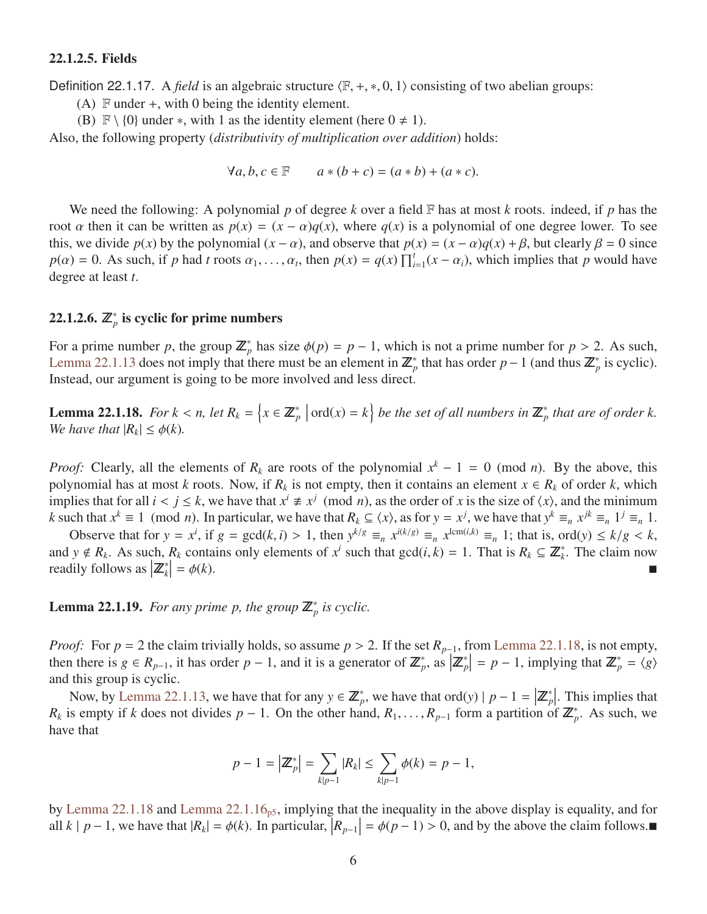### 22.1.2.5. Fields

<span id="page-5-0"></span>Definition 22.1.17. A *field* is an algebraic structure  $\langle F, +, *, 0, 1 \rangle$  consisting of two abelian groups:

(A)  $\mathbb F$  under  $+$ , with 0 being the identity element.

(B)  $\mathbb{F} \setminus \{0\}$  under \*, with 1 as the identity element (here  $0 \neq 1$ ).

Also, the following property (*distributivity of multiplication over addition*) holds:

$$
\forall a, b, c \in \mathbb{F} \qquad a * (b + c) = (a * b) + (a * c).
$$

We need the following: A polynomial *p* of degree *k* over a field F has at most *k* roots. indeed, if *p* has the root  $\alpha$  then it can be written as  $p(x) = (x - \alpha)q(x)$ , where  $q(x)$  is a polynomial of one degree lower. To see this, we divide  $p(x)$  by the polynomial  $(x - \alpha)$ , and observe that  $p(x) = (x - \alpha)q(x) + \beta$ , but clearly  $\beta = 0$  since  $p(\alpha) = 0$ . As such, if *p* had *t* roots  $\alpha_1, \ldots, \alpha_t$ , then  $p(x) = q(x) \prod_{i=1}^t (x - \alpha_i)$ , which implies that *p* would have degree at least *t*.

# 22.1.2.6.  $\mathbb{Z}_p^*$  is cyclic for prime numbers

For a prime number *p*, the group  $\mathbb{Z}_p^*$  has size  $\phi(p) = p - 1$ , which is not a prime number for  $p > 2$ . As such, <br>Lemma 22.1.13 does not imply that there must be an element in  $\mathbb{Z}^*$  that has order  $p - 1$  (and thu [Lemma 22.1.13](#page-4-2) does not imply that there must be an element in  $\mathbb{Z}_p^*$  that has order *p* − 1 (and thus  $\mathbb{Z}_p^*$  is cyclic). Instead, our argument is going to be more involved and less direct.

<span id="page-5-1"></span>**Lemma 22.1.18.** For  $k < n$ , let  $R_k = \{x \in \mathbb{Z}_p^* \mid \text{ord}(x) = k\}$  be the set of all numbers in  $\mathbb{Z}_p^*$  that are of order k.<br>We have that  $|R_i| < \phi(k)$ *We have that*  $|R_k| \leq \phi(k)$ *.* 

*Proof:* Clearly, all the elements of  $R_k$  are roots of the polynomial  $x^k - 1 = 0$  (mod *n*). By the above, this polynomial has at most *k* roots. Now, if  $R_k$  is not empty, then it contains an element  $x \in R_k$  of order *k*, which implies that for all  $i < j \le k$ , we have that  $x^i \ne x^j \pmod{n}$ , as the order of *x* is the size of  $\langle x \rangle$ , and the minimum  $k$  such that  $x^k = 1 \pmod{n}$ . In particular, we have that  $R_i \subset \langle x \rangle$  as for  $y = x^j$ , we have that  $y$ k such that  $x^k \equiv 1 \pmod{n}$ . In particular, we have that  $R_k \subseteq \langle x \rangle$ , as for  $y = x^j$ , we have that  $y^k \equiv_n x^{jk} \equiv_n 1^j \equiv_n 1$ .

Observe that for  $y = x^i$ , if  $g = \gcd(k, i) > 1$ , then  $y^{k/g} \equiv_n x^{i(k/g)} \equiv_n x^{\text{lcm}(i,k)} \equiv_n 1$ ; that is, ord(y)  $\le k/g < k$ ,<br> $y \notin R$ . As such  $R_i$  contains only elements of  $x^i$  such that  $\gcd(i, k) = 1$ . That is  $R_i \subset \mathbb{Z}^*$ . The claim and *y*  $\notin R_k$ . As such,  $R_k$  contains only elements of  $x^i$  such that  $gcd(i, k) = 1$ . That is  $R_k \subseteq \mathbb{Z}_k^*$ . The claim now readily follows as  $|\mathbb{Z}^*| = \phi(k)$ readily follows as  $\left| \mathbf{Z}_{k}^{*} \right|$  $= \phi(k).$ 

**Lemma 22.1.19.** For any prime p, the group  $\mathbb{Z}_p^*$  is cyclic.

*Proof:* For  $p = 2$  the claim trivially holds, so assume  $p > 2$ . If the set  $R_{p-1}$ , from [Lemma 22.1.18,](#page-5-1) is not empty, then there is  $g \in R_{p-1}$ , it has order  $p-1$ , and it is a generator of  $\mathbb{Z}_p^*$ , as  $\left| \mathbb{Z}_p^* \right| = p-1$ , implying that  $\mathbb{Z}_p^* = \langle g \rangle$ and this group is cyclic.

Now, by [Lemma 22.1.13,](#page-4-2) we have that for any  $y \in \mathbb{Z}_p^*$ , we have that ord(*y*)  $|p-1| = |\mathbb{Z}_p^*|$ . This implies that *R<sub>k</sub>* is empty if *k* does not divides *p* − 1. On the other hand, *R*<sub>1</sub>, . . . , *R*<sub>*p*</sub>-1 form a partition of  $\mathbb{Z}_p^*$ . As such, we have that have that

$$
p-1 = |\mathbb{Z}_{p}^{*}| = \sum_{k|p-1} |R_{k}| \leq \sum_{k|p-1} \phi(k) = p-1,
$$

by [Lemma 22.1.18](#page-5-1) and [Lemma 22.1.16](#page-4-4)<sub>[p5](#page-4-4)</sub>, implying that the inequality in the above display is equality, and for all *k* | *p* − 1, we have that  $|R_k| = \phi(k)$ . In particular,  $|R_{p-1}| = \phi(p-1) > 0$ , and by the above the claim follows.■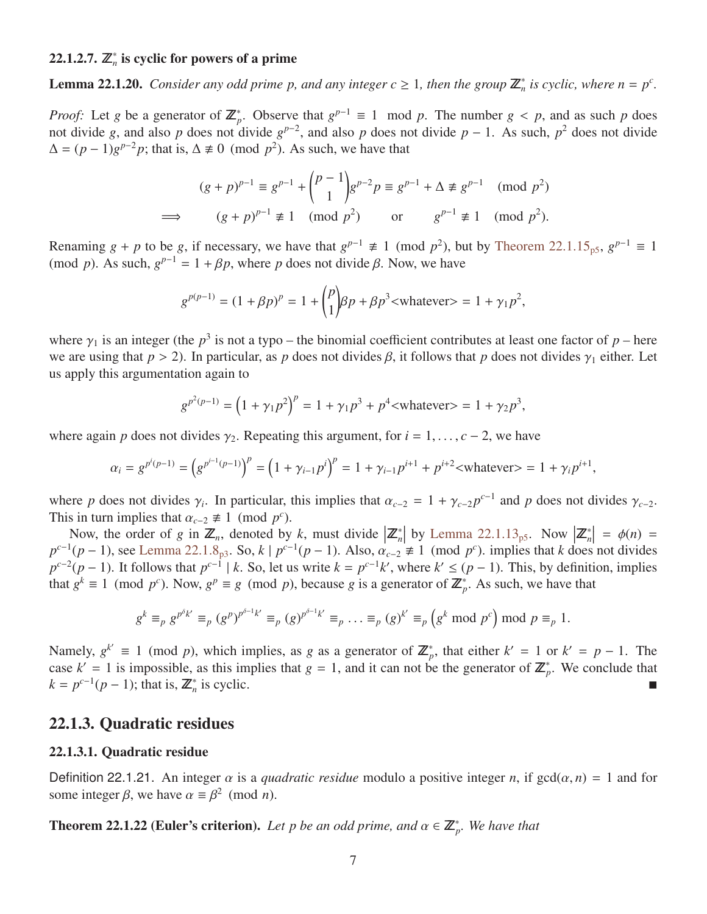# 22.1.2.7.  $\mathbb{Z}_n^*$  is cyclic for powers of a prime

<span id="page-6-1"></span>**Lemma 22.1.20.** Consider any odd prime p, and any integer  $c \ge 1$ , then the group  $\mathbb{Z}_n^*$  is cyclic, where  $n = p^c$ .

*Proof:* Let *g* be a generator of  $\mathbb{Z}_p^*$ . Observe that  $g^{p-1} \equiv 1 \mod p$ . The number  $g < p$ , and as such *p* does not divide *g* and also *p* does not divide *g* and also *p* does not divide not divide *g*, and also *p* does not divide  $g^{p-2}$ , and also *p* does not divide  $p-1$ . As such,  $p^2$  does not divide  $\Delta = (p-1)g^{p-2}p$ ; that is,  $\Delta \neq 0 \pmod{p^2}$ . As such, we have that

$$
(g+p)^{p-1} \equiv g^{p-1} + {p-1 \choose 1} g^{p-2} p \equiv g^{p-1} + \Delta \not\equiv g^{p-1} \pmod{p^2}
$$
  
\n
$$
\implies (g+p)^{p-1} \not\equiv 1 \pmod{p^2} \text{ or } g^{p-1} \not\equiv 1 \pmod{p^2}.
$$

Renaming  $g + p$  to be  $g$ , if necessary, we have that  $g^{p-1} \neq 1 \pmod{p^2}$ , but by [Theorem 22.1.15](#page-4-5)<sub>[p5](#page-4-5)</sub>,  $g^{p-1} \equiv 1$ (mod *p*). As such,  $g^{p-1} = 1 + \beta p$ , where *p* does not divide  $\beta$ . Now, we have

$$
g^{p(p-1)} = (1 + \beta p)^p = 1 + {p \choose 1} \beta p + \beta p^3 < \text{whatever} > 1 + \gamma_1 p^2,
$$

where  $\gamma_1$  is an integer (the *p*<sup>3</sup> is not a typo – the binomial coefficient contributes at least one factor of *p* – here we are using that  $n > 2$ ). In particular, as *p* does not divides *R* it follows that *p* does we are using that  $p > 2$ ). In particular, as *p* does not divides  $\beta$ , it follows that *p* does not divides  $\gamma_1$  either. Let us apply this argumentation again to

$$
g^{p^2(p-1)} = (1 + \gamma_1 p^2)^p = 1 + \gamma_1 p^3 + p^4
$$
  
 
$$
= 1 + \gamma_2 p^3,
$$

where again *p* does not divides  $\gamma_2$ . Repeating this argument, for  $i = 1, \ldots, c - 2$ , we have

$$
\alpha_i = g^{p^i(p-1)} = \left( g^{p^{i-1}(p-1)} \right)^p = \left( 1 + \gamma_{i-1} p^i \right)^p = 1 + \gamma_{i-1} p^{i+1} + p^{i+2} < \text{whatever} > 1 + \gamma_i p^{i+1},
$$

where *p* does not divides  $\gamma_i$ . In particular, this implies that  $\alpha_{c-2} = 1 + \gamma_{c-2} p^{c-1}$  and *p* does not divides  $\gamma_{c-2}$ .<br>This in turn implies that  $\alpha_{c-2} \neq 1 \pmod{p^c}$ This in turn implies that  $\alpha_{c-2} \not\equiv 1 \pmod{p^c}$ .<br>
Now the order of *a* in **Z** denoted by

Now, the order of *g* in  $\mathbb{Z}_n$ , denoted by *k*, must divide  $\left| \mathbb{Z}_n^* \right|$  by [Lemma 22.1.13](#page-4-2)<sub>[p5](#page-4-2)</sub>. Now  $\left| \mathbb{Z}_n^* \right| = \phi(n) =$ <br> $\frac{1}{n-1}$  see Lemma 22.1.8. So *k* Ln<sup>c-1</sup>(n – 1). Also  $\alpha_{n-1} \neq 1$  (mod n<sup>c</sup>) impli  $p^{c-1}(p-1)$ , see [Lemma 22.1.8](#page-2-1)<sub>[p3](#page-2-1)</sub>. So,  $k | p^{c-1}(p-1)$ . Also,  $\alpha_{c-2} \neq 1 \pmod{p^c}$ , implies that *k* does not divides  $p^{c-2}(p-1)$ . It follows that  $p^{c-1} | k$ . So, let us write  $k = p^{c-1}k'$ , where  $k' \leq (p-1)$ . This, by  $p^{c-2}(p-1)$ . It follows that  $p^{c-1} \mid k$ . So, let us write  $k = p^{c-1}k'$ , where  $k' \le (p-1)$ . This, by definition, implies that  $g^k \equiv 1 \pmod{p^c}$ . Now,  $g^p \equiv g \pmod{p}$ , because *g* is a generator of  $\mathbb{Z}_p^*$ . As such, we have that

$$
g^k \equiv_p g^{p^{\delta_k}} \equiv_p (g^p)^{p^{\delta-1_k}} \equiv_p (g)^{p^{\delta-1_k}} \equiv_p \ldots \equiv_p (g)^{k'} \equiv_p \left(g^k \bmod p^c\right) \bmod p \equiv_p 1.
$$

Namely,  $g^{k'} \equiv 1 \pmod{p}$ , which implies, as *g* as a generator of  $\mathbb{Z}_p^*$ , that either  $k' = 1$  or  $k' = p - 1$ . The case  $k' = 1$  is impossible, as this implies that  $g = 1$ , and it can not be the generator of  $\mathbb{Z}_p^*$ . We conclude that  $k = p^{c-1}(p-1)$ ; that is,  $\mathbb{Z}_n^*$ is cyclic.

### 22.1.3. Quadratic residues

#### 22.1.3.1. Quadratic residue

Definition 22.1.21. An integer  $\alpha$  is a *quadratic residue* modulo a positive integer *n*, if gcd( $\alpha$ , *n*) = 1 and for some integer  $β$ , we have  $α \equiv β^2 \pmod{n}$ .

<span id="page-6-0"></span>**Theorem 22.1.22 (Euler's criterion).** Let p be an odd prime, and  $\alpha \in \mathbb{Z}_p^*$ . We have that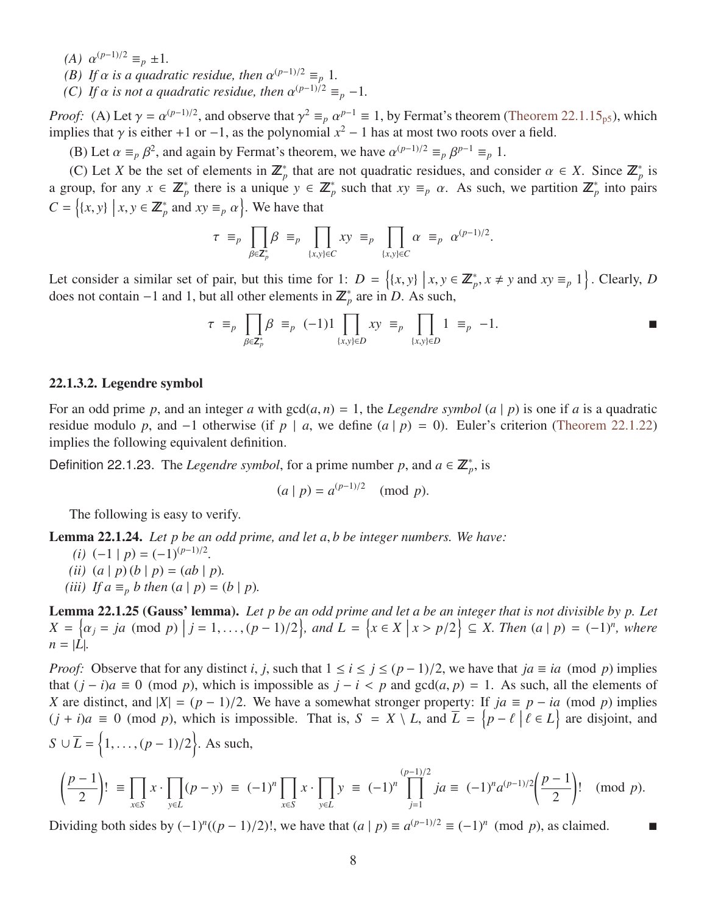- *(A)*  $\alpha^{(p-1)/2} \equiv_p \pm 1$ .<br>*(B)* If  $\alpha$  is a quadri-
- *(B)* If  $\alpha$  *is a quadratic residue, then*  $\alpha^{(p-1)/2} \equiv_p 1$ .<br>(C) If  $\alpha$  is not a quadratic residue, then  $\alpha^{(p-1)/2}$
- *(C) If*  $\alpha$  *is not a quadratic residue, then*  $\alpha^{(p-1)/2} \equiv_p -1$ *.*

*Proof:* (A) Let  $\gamma = \alpha^{(p-1)/2}$ , and observe that  $\gamma^2 \equiv_p \alpha^{p-1} \equiv 1$ , by Fermat's theorem [\(Theorem 22.1.15](#page-4-5)<sub>[p5](#page-4-5)</sub>), which implies that  $\gamma$  is either +1 or -1, as the polynomial  $x^2 - 1$  has at most two roots over a field implies that  $\gamma$  is either +1 or −1, as the polynomial  $x^2 - 1$  has at most two roots over a field.

(B) Let  $\alpha \equiv_p \beta^2$ , and again by Fermat's theorem, we have  $\alpha^{(p-1)/2} \equiv_p \beta^{p-1} \equiv_p 1$ .<br>(C) Let *X* he the set of algregate in  $\mathbb{Z}^*$  that are not available positive, and as

(C) Let *X* be the set of elements in  $\mathbb{Z}_p^*$  that are not quadratic residues, and consider  $\alpha \in X$ . Since  $\mathbb{Z}_p^*$  is<br>roun, for any  $x \in \mathbb{Z}^*$  there is a unique  $y \in \mathbb{Z}^*$  such that  $xy = \alpha$ . As such we partit a group, for any  $x \in \mathbb{Z}_p^*$  there is a unique  $y \in \mathbb{Z}_p^*$  such that  $xy \equiv_p \alpha$ . As such, we partition  $\mathbb{Z}_p^*$  into pairs  $C = \{(x, y) \mid x, y \in \mathbb{Z}_p^* \text{ and } xy \equiv_p \alpha\}.$  We have that

$$
\tau \equiv_p \prod_{\beta \in \mathbf{Z}_p^*} \beta \equiv_p \prod_{\{x,y\} \in C} xy \equiv_p \prod_{\{x,y\} \in C} \alpha \equiv_p \alpha^{(p-1)/2}.
$$

Let consider a similar set of pair, but this time for 1:  $D = \{(x, y) | x, y \in \mathbb{Z}_p^*, x \neq y \text{ and } xy \equiv_p 1\}$ . Clearly, *D* does not contain  $-1$  and 1 but all other elements in  $\mathbb{Z}^*$  are in *D*. As such does not contain  $-1$  and 1, but all other elements in  $\mathbb{Z}_p^*$  are in *D*. As such,

$$
\tau \equiv_p \prod_{\beta \in \mathbb{Z}_p^*} \beta \equiv_p (-1) \prod_{\{x,y\} \in D} xy \equiv_p \prod_{\{x,y\} \in D} 1 \equiv_p -1.
$$

#### 22.1.3.2. Legendre symbol

For an odd prime p, and an integer a with  $gcd(a, n) = 1$ , the *Legendre symbol*  $(a | p)$  is one if a is a quadratic residue modulo *p*, and  $-1$  otherwise (if *p* | *a*, we define  $(a | p) = 0$ ). Euler's criterion [\(Theorem 22.1.22\)](#page-6-0) implies the following equivalent definition.

<span id="page-7-3"></span>Definition 22.1.23. The *Legendre symbol*, for a prime number p, and  $a \in \mathbb{Z}_p^*$ , is

<span id="page-7-2"></span>
$$
(a | p) = a^{(p-1)/2} \pmod{p}.
$$

The following is easy to verify.

Lemma 22.1.24. *Let p be an odd prime, and let a*, *b be integer numbers. We have:*

- *(i)*  $(-1 | p) = (-1)^{(p-1)/2}$ . *(ii)*  $(a | p)(b | p) = (ab | p)$ .
- *(iii) If*  $a \equiv_p b$  *then*  $(a | p) = (b | p)$ *.*

<span id="page-7-0"></span>Lemma 22.1.25 (Gauss' lemma). *Let p be an odd prime and let a be an integer that is not divisible by p. Let*  $X = \{ \alpha_j = ja \pmod{p} \mid j = 1, \ldots, (p-1)/2 \}, \text{ and } L = \{ x \in X \mid x > p/2 \} \subseteq X. \text{ Then } (a \mid p) = (-1)^n, \text{ where }$  $n = |L|$ .

*Proof:* Observe that for any distinct *i*, *j*, such that  $1 \le i \le j \le (p-1)/2$ , we have that *ja*  $\equiv ia \pmod{p}$  implies that  $(j - i)a \equiv 0 \pmod{p}$ , which is impossible as  $j - i < p$  and  $gcd(a, p) = 1$ . As such, all the elements of *X* are distinct, and  $|X| = (p - 1)/2$ . We have a somewhat stronger property: If  $ja \equiv p - ia \pmod{p}$  implies  $(j + i)a \equiv 0 \pmod{p}$ , which is impossible. That is, *S* = *X* \ *L*, and  $\overline{L} = \{p - \ell \mid \ell \in L\}$  are disjoint, and  $S \cup \overline{L} = \{1, ..., (p-1)/2\}$ . As such,

$$
\left(\frac{p-1}{2}\right)! \equiv \prod_{x \in S} x \cdot \prod_{y \in L} (p-y) \equiv (-1)^n \prod_{x \in S} x \cdot \prod_{y \in L} y \equiv (-1)^n \prod_{j=1}^{(p-1)/2} ja \equiv (-1)^n a^{(p-1)/2} \left(\frac{p-1}{2}\right)! \pmod{p}.
$$

<span id="page-7-1"></span>Dividing both sides by  $(-1)^n((p-1)/2)!$ , we have that  $(a | p) \equiv a^{(p-1)/2} \equiv (-1)^n \pmod{p}$ , as claimed. ■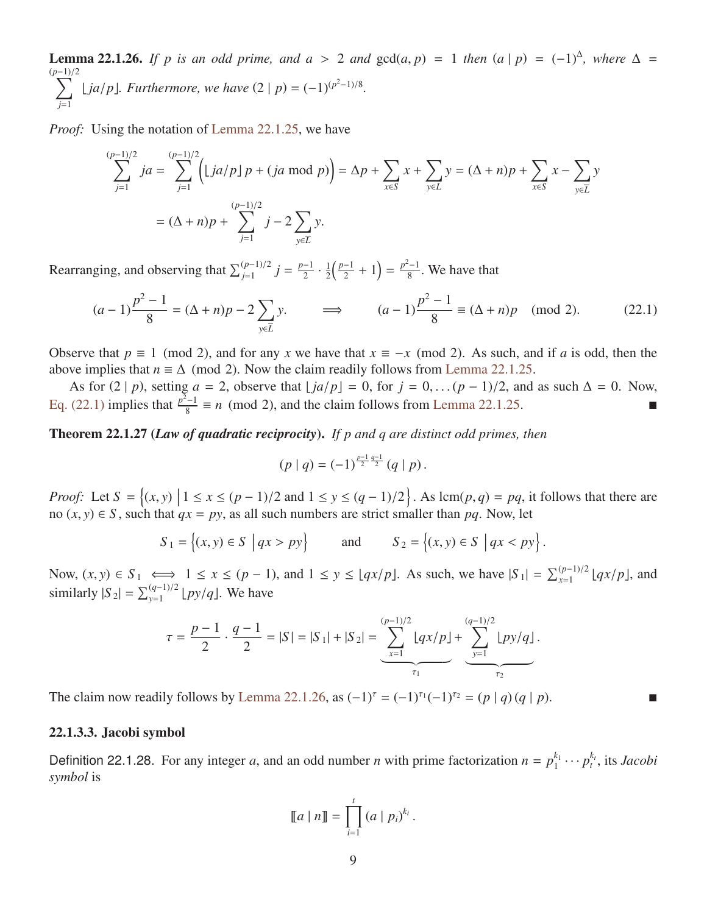**Lemma 22.1.26.** *If p is an odd prime, and a* > 2 *and*  $gcd(a, p) = 1$  *then*  $(a | p) = (-1)^{\Delta}$ *, where*  $\Delta = (p-1)/2$ (*p* X<sup>−</sup>1)/<sup>2</sup>  $\sum_{j=1}$  [*ja*/*p*]*. Furthermore, we have*  $(2 | p) = (-1)^{(p^2-1)/8}$ *.* 

*Proof:* Using the notation of [Lemma 22.1.25,](#page-7-0) we have

$$
\sum_{j=1}^{(p-1)/2} ja = \sum_{j=1}^{(p-1)/2} \left( \lfloor ja/p \rfloor p + (ja \bmod p) \right) = \Delta p + \sum_{x \in S} x + \sum_{y \in L} y = (\Delta + n)p + \sum_{x \in S} x - \sum_{y \in \overline{L}} y
$$

$$
= (\Delta + n)p + \sum_{j=1}^{(p-1)/2} j - 2 \sum_{y \in \overline{L}} y.
$$

Rearranging, and observing that  $\sum_{j=1}^{(p-1)/2} j = \frac{p-1}{2}$  $\frac{-1}{2} \cdot \frac{1}{2}$  $rac{1}{2} igg(\frac{p-1}{2} igg)$  $\frac{-1}{2} + 1$ ) =  $\frac{p^2 - 1}{8}$  $\frac{1}{8}$ . We have that

$$
(a-1)\frac{p^2-1}{8} = (\Delta+n)p - 2\sum_{y \in \overline{L}} y. \qquad \implies \qquad (a-1)\frac{p^2-1}{8} \equiv (\Delta+n)p \pmod{2}.
$$
 (22.1)

Observe that  $p \equiv 1 \pmod{2}$ , and for any *x* we have that  $x \equiv -x \pmod{2}$ . As such, and if *a* is odd, then the above implies that  $n \equiv \Delta \pmod{2}$ . Now the claim readily follows from [Lemma 22.1.25.](#page-7-0)

As for  $(2 | p)$ , setting  $a = 2$ , observe that  $\lfloor ja/p \rfloor = 0$ , for  $j = 0, \ldots (p-1)/2$ , and as such  $\Delta = 0$ . Now, [Eq. \(22.1\)](#page-8-0) implies that  $\frac{p^2-1}{8}$  $\frac{a}{8} = n \pmod{2}$ , and the claim follows from [Lemma 22.1.25.](#page-7-0)

<span id="page-8-1"></span>Theorem 22.1.27 (*Law of quadratic reciprocity*). *If p and q are distinct odd primes, then*

<span id="page-8-0"></span>
$$
(p | q) = (-1)^{\frac{p-1}{2} \frac{q-1}{2}} (q | p).
$$

*Proof:* Let  $S = \{(x, y) | 1 \le x \le (p - 1)/2 \text{ and } 1 \le y \le (q - 1)/2 \}$ . As  $\text{lcm}(p, q) = pq$ , it follows that there are no  $(x, y) \in S$  such that  $qx = ny$  as all such numbers are strict smaller than *ng*. Now let no  $(x, y) \in S$ , such that  $qx = py$ , as all such numbers are strict smaller than pq. Now, let

$$
S_1 = \{(x, y) \in S \mid qx > py\}
$$
 and  $S_2 = \{(x, y) \in S \mid qx < py\}.$ 

Now,  $(x, y) \in S_1$  ⇔  $1 \le x \le (p - 1)$ , and  $1 \le y \le \lfloor qx/p \rfloor$ . As such, we have  $|S_1| = \sum_{x=1}^{(p-1)/2} \lfloor qx/p \rfloor$ , and  $\min_{x \in S_1} |S_1| = \sum_{x=1}^{(p-1)/2} \lfloor qx/p \rfloor$ , and similarly  $|S_2| = \sum_{y=1}^{(q-1)/2} \lfloor py/q \rfloor$ . We have

$$
\tau = \frac{p-1}{2} \cdot \frac{q-1}{2} = |S| = |S_1| + |S_2| = \underbrace{\sum_{x=1}^{(p-1)/2} \lfloor qx/p \rfloor}_{\tau_1} + \underbrace{\sum_{y=1}^{(q-1)/2} \lfloor py/q \rfloor}_{\tau_2}
$$

The claim now readily follows by [Lemma 22.1.26,](#page-7-1) as  $(-1)^{\tau} = (-1)^{\tau_1}(-1)^{\tau_2} = (p | q) (q | p)$ . ■

### 22.1.3.3. Jacobi symbol

<span id="page-8-2"></span>Definition 22.1.28. For any integer *a*, and an odd number *n* with prime factorization  $n = p_1^{k_1}$  $i_1^{k_1} \cdots p_t^{k_t}$ , its *Jacobi symbol* is

$$
[\![a \mid n]\!] = \prod_{i=1}^t (a \mid p_i)^{k_i}.
$$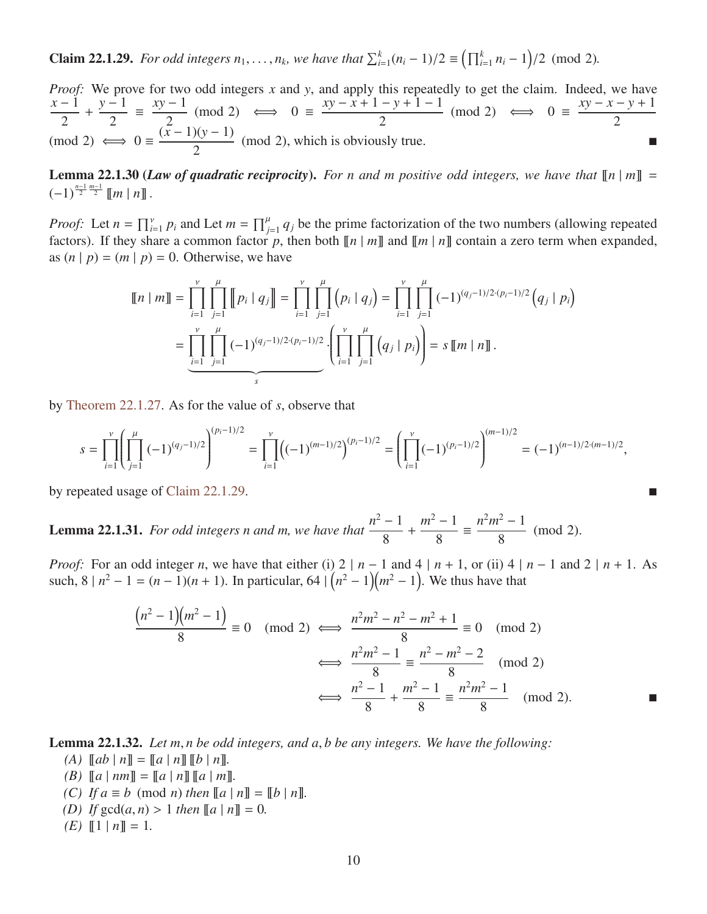**Claim 22.1.29.** *For odd integers*  $n_1, ..., n_k$ , we have that  $\sum_{i=1}^{k} (n_i - 1)/2 \equiv (\prod_{i=1}^{k} n_i - 1)/2$  (mod 2).

*Proof:* We prove for two odd integers *x* and *y*, and apply this repeatedly to get the claim. Indeed, we have *x* − 1 2 + *y* − 1 2  $\equiv \frac{xy-1}{2}$ 2  $(mod 2) \iff 0 \equiv$ *xy* − *x* + 1 − *y* + 1 − 1 2  $(mod 2) \iff 0 \equiv$ *xy* − *x* − *y* + 1 2  $(mod 2) \iff 0 \equiv$  $(x-1)(y-1)$  $\frac{2(1)(1-1)}{2}$  (mod 2), which is obviously true.

<span id="page-9-1"></span>**Lemma 22.1.30 (***Law of quadratic reciprocity***).** For n and m positive odd integers, we have that  $\llbracket n \mid m \rrbracket =$  $(-1)^{\frac{n-1}{2}\frac{m-1}{2}}$  [*m* | *n*] .

*Proof:* Let  $n = \prod_{i=1}^{v} p_i$  and Let  $m = \prod_{j=1}^{u} q_j$  be the prime factorization of the two numbers (allowing repeated factors). If they share a common factor p, then both  $\llbracket n \mid m \rrbracket$  and  $\llbracket m \mid n \rrbracket$  contain a zero term when expanded, as  $(n | p) = (m | p) = 0$ . Otherwise, we have

$$
\llbracket n \mid m \rrbracket = \prod_{i=1}^{\nu} \prod_{j=1}^{\mu} \llbracket p_i \mid q_j \rrbracket = \prod_{i=1}^{\nu} \prod_{j=1}^{\mu} \left( p_i \mid q_j \right) = \prod_{i=1}^{\nu} \prod_{j=1}^{\mu} \left( p_i \mid q_j \right) = \prod_{i=1}^{\nu} \prod_{j=1}^{\mu} \left( -1 \right)^{(q_j - 1)/2 \cdot (p_i - 1)/2} \left( q_j \mid p_i \right)
$$

$$
= \underbrace{\prod_{i=1}^{\nu} \prod_{j=1}^{\mu} (-1)^{(q_j - 1)/2 \cdot (p_i - 1)/2}}_{s} \cdot \left( \prod_{i=1}^{\nu} \prod_{j=1}^{\mu} \left( q_j \mid p_i \right) \right) = s \llbracket m \mid n \rrbracket.
$$

by [Theorem 22.1.27.](#page-8-1) As for the value of *s*, observe that

$$
s = \prod_{i=1}^{\nu} \left( \prod_{j=1}^{\mu} (-1)^{(q_j-1)/2} \right)^{(p_i-1)/2} = \prod_{i=1}^{\nu} \left( (-1)^{(m-1)/2} \right)^{(p_i-1)/2} = \left( \prod_{i=1}^{\nu} (-1)^{(p_i-1)/2} \right)^{(m-1)/2} = (-1)^{(n-1)/2 \cdot (m-1)/2},
$$

by repeated usage of [Claim 22.1.29.](#page-8-2)

<span id="page-9-0"></span>**Lemma 22.1.31.** *For odd integers n and m, we have that*  $\frac{n^2 - 1}{2}$ 8 +  $m^2 - 1$ 8  $\equiv \frac{n^2m^2-1}{2}$  $\frac{1}{8}$  (mod 2).

*Proof:* For an odd integer *n*, we have that either (i) 2 | *n* − 1 and 4 | *n* + 1, or (ii) 4 | *n* − 1 and 2 | *n* + 1. As such,  $8 | n^2 - 1 = (n - 1)(n + 1)$ . In particular,  $64 | (n^2 - 1)(m^2 - 1)$ . We thus have that

$$
\frac{(n^2 - 1)(m^2 - 1)}{8} \equiv 0 \pmod{2} \iff \frac{n^2m^2 - n^2 - m^2 + 1}{8} \equiv 0 \pmod{2}
$$

$$
\iff \frac{n^2m^2 - 1}{8} \equiv \frac{n^2 - m^2 - 2}{8} \pmod{2}
$$

$$
\iff \frac{n^2 - 1}{8} + \frac{m^2 - 1}{8} \equiv \frac{n^2m^2 - 1}{8} \pmod{2}
$$

<span id="page-9-5"></span><span id="page-9-2"></span>Lemma 22.1.32. *Let m*, *n be odd integers, and a*, *b be any integers. We have the following:*

- $(A)$   $[a b | n] = [a | n] [b | n].$
- $(B)$   $[a \mid nm] = [a \mid n] [a \mid m].$
- <span id="page-9-3"></span>*(C) If*  $a \equiv b \pmod{n}$  *then*  $[ a | n ] = [ b | n ]$ *.*
- <span id="page-9-4"></span>*(D) If*  $gcd(a, n) > 1$  *then*  $[ a | n ] = 0$ *.*
- *(E)*  $\llbracket 1 \mid n \rrbracket = 1$ .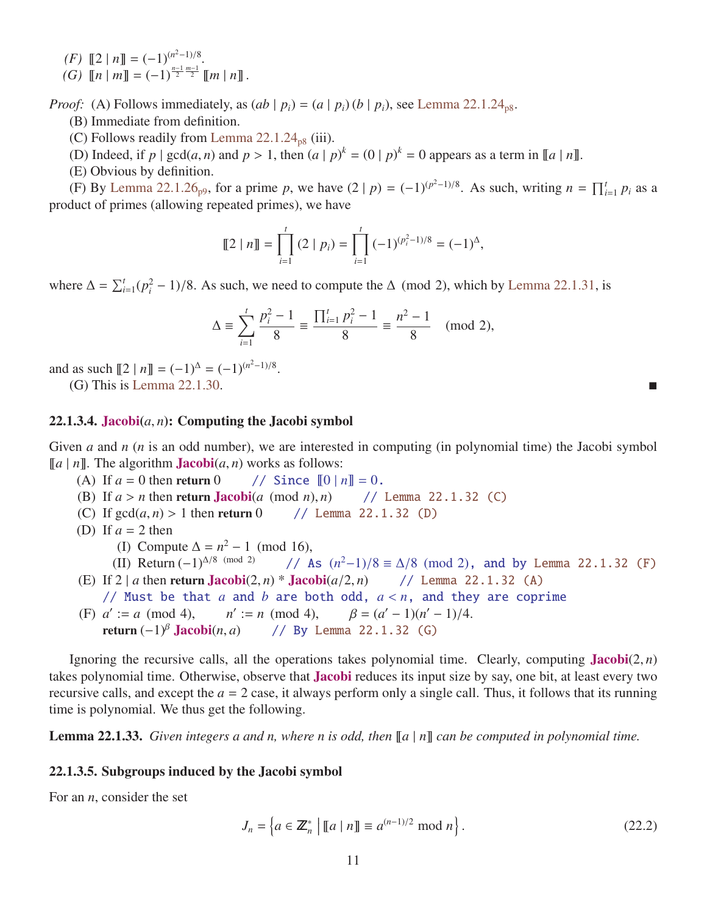<span id="page-10-1"></span><span id="page-10-0"></span> $(F)$   $[2 | n] = (-1)^{(n^2-1)/8}.$  $(G)$   $\llbracket n \mid m \rrbracket = (-1)^{\frac{n-1}{2}} \mathbb{Z}^{\frac{m-1}{2}} \llbracket m \mid n \rrbracket$ .

*Proof:* (A) Follows immediately, as  $(ab | p_i) = (a | p_i)(b | p_i)$ , see [Lemma 22.1.24](#page-7-2)<sub>[p8](#page-7-2)</sub>.

- (B) Immediate from definition.
- (C) Follows readily from Lemma  $22.1.24_{p8}$  $22.1.24_{p8}$  $22.1.24_{p8}$  (iii).
- (D) Indeed, if  $p \mid \gcd(a, n)$  and  $p > 1$ , then  $(a \mid p)^k = (0 \mid p)^k = 0$  appears as a term in  $\llbracket a \mid n \rrbracket$ .<br>(E) Obvious by definition
- (E) Obvious by definition.

(F) By [Lemma 22.1.26](#page-7-1)<sub>[p9](#page-7-1)</sub>, for a prime *p*, we have  $(2 | p) = (-1)^{(p^2-1)/8}$ . As such, writing  $n = \prod_{i=1}^{t} p_i$  as a product of primes (allowing repeated primes), we have

$$
[\![2 \mid n]\!] = \prod_{i=1}^t (2 \mid p_i) = \prod_{i=1}^t (-1)^{(p_i^2 - 1)/8} = (-1)^{\Delta},
$$

where  $\Delta = \sum_{i=1}^{t} (p_i^2 - 1)/8$ . As such, we need to compute the  $\Delta$  (mod 2), which by [Lemma 22.1.31,](#page-9-0) is

$$
\Delta \equiv \sum_{i=1}^{t} \frac{p_i^2 - 1}{8} \equiv \frac{\prod_{i=1}^{t} p_i^2 - 1}{8} \equiv \frac{n^2 - 1}{8} \pmod{2},
$$

and as such  $\llbracket 2 \mid n \rrbracket = (-1)^{\Delta} = (-1)^{(n^2-1)/8}$ .

(G) This is [Lemma 22.1.30.](#page-9-1)

### <span id="page-10-3"></span>22.1.3.4. Jacobi $(a, n)$ : Computing the Jacobi symbol

Given *a* and *n* (*n* is an odd number), we are interested in computing (in polynomial time) the Jacobi symbol [[a | n]]. The algorithm **Jacobi**(*a*, *n*) works as follows:<br>(A) If  $a = 0$  then return 0 // Since  $[0 | n] = 0$ .

- (A) If  $a = 0$  then return 0
- (B) If  $a > n$  then return **Jacobi**(*a* (mod *n*), *n*) // [Lemma 22.1.32](#page-9-2) [\(C\)](#page-9-3)<br>(C) If  $gcd(a, n) > 1$  then return 0 // Lemma 22.1.32 (D)
- (C) If  $gcd(a, n) > 1$  then return 0

(D) If 
$$
a = 2
$$
 then

(I) Compute  $\Delta = n^2 - 1 \pmod{16}$ ,

(II) Return 
$$
(-1)^{\Delta/8 \pmod{2}}
$$
 // As  $(n^2-1)/8 \equiv \Delta/8 \pmod{2}$ , and by Lemma 22.1.32 (F)

- (E) If 2 | *a* then return **Jacobi** $(2, n)$  \* **Jacobi** $(a/2, n)$  // [Lemma 22.1.32](#page-9-2) [\(A\)](#page-9-5) // Must be that  $a$  and  $b$  are both odd,  $a < n$ , and they are coprime (F)  $a' := a \pmod{4}$ , *n*  $n' := n \pmod{4}$ ,  $:= n \pmod{4}, \qquad \beta = (a$ <br>((By Lemma 22, 1)  $\binom{0}{-1}$ (*n'* – 1)/4.
	- return (−1)<sup>β</sup> **Jacobi**(*n*, *a*) // By [Lemma 22.1.32](#page-9-2) [\(G\)](#page-10-1)

Ignoring the recursive calls, all the operations takes polynomial time. Clearly, computing  $Jacobi(2, n)$ takes polynomial time. Otherwise, observe that Jacobi reduces its input size by say, one bit, at least every two recursive calls, and except the  $a = 2$  case, it always perform only a single call. Thus, it follows that its running time is polynomial. We thus get the following.

**Lemma 22.1.33.** *Given integers a and n, where n is odd, then*  $[a | n]$  *can be computed in polynomial time.* 

#### 22.1.3.5. Subgroups induced by the Jacobi symbol

For an *n*, consider the set

<span id="page-10-2"></span>
$$
J_n = \left\{ a \in \mathbb{Z}_n^* \mid \llbracket a \mid n \rrbracket \equiv a^{(n-1)/2} \bmod n \right\}.
$$
 (22.2)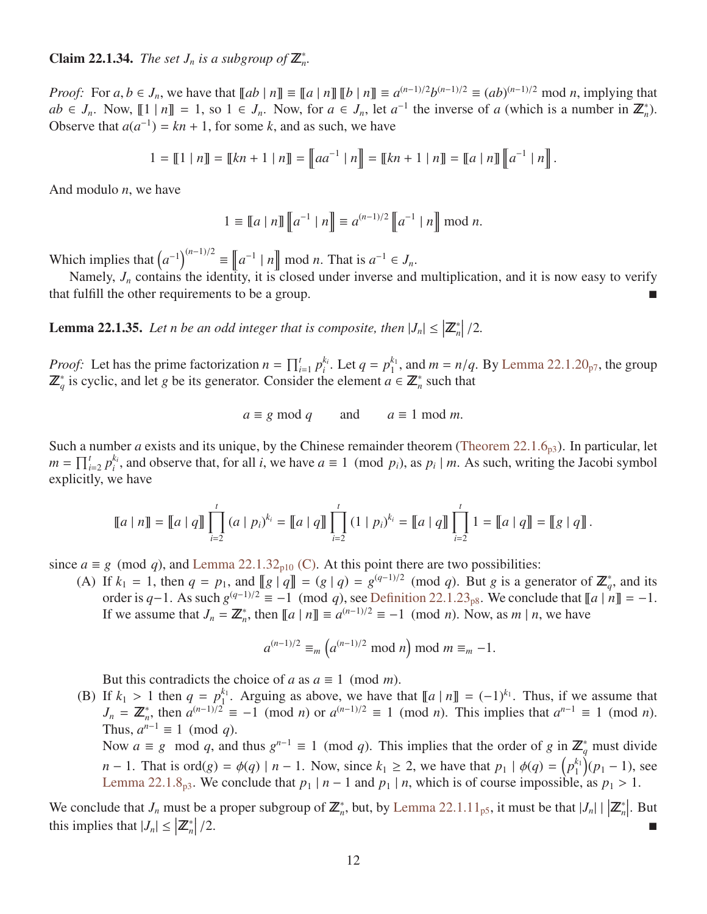# **Claim 22.1.34.** *The set*  $J_n$  *is a subgroup of*  $\mathbb{Z}_n^*$ .

*Proof:* For  $a, b \in J_n$ , we have that  $[[ab \mid n]] \equiv [[a \mid n]] [[b \mid n]] \equiv a^{(n-1)/2}b^{(n-1)/2} \equiv (ab)^{(n-1)/2} \mod n$ , implying that  $ab \in I$ . Now  $[[1 \mid n]] = 1$ , so  $1 \in I$ . Now for  $a \in I$ , let  $a^{-1}$  the inverse of a (which is a number in  $\mathbb{Z}^*$  $ab \in J_n$ . Now,  $[1 | n] = 1$ , so  $1 \in J_n$ . Now, for  $a \in J_n$ , let  $a^{-1}$  the inverse of *a* (which is a number in  $\mathbb{Z}_n^*$ ). Observe that  $a(a^{-1}) = kn + 1$ , for some *k*, and as such, we have

$$
1 = \llbracket 1 | n \rrbracket = \llbracket kn + 1 | n \rrbracket = \llbracket aa^{-1} | n \rrbracket = \llbracket kn + 1 | n \rrbracket = \llbracket a | n \rrbracket \llbracket a^{-1} | n \rrbracket.
$$

And modulo *n*, we have

$$
1 \equiv [a \mid n] \, [a^{-1} \mid n] \equiv a^{(n-1)/2} \, [a^{-1} \mid n] \mod n.
$$

Which implies that  $(a^{-1})^{(n-1)/2} \equiv a^{-1} |n| \mod n$ . That is  $a^{-1} \in J_n$ .

Namely,  $J_n$  contains the identity, it is closed under inverse and multiplication, and it is now easy to verify that fulfill the other requirements to be a group.

<span id="page-11-0"></span>**Lemma 22.1.35.** Let n be an odd integer that is composite, then  $|J_n| \leq |\mathbb{Z}_n^*|/2$ .

*Proof:* Let has the prime factorization  $n = \prod_{i=1}^{t} p_i^{k_i}$  $i_i^k$ . Let  $q = p_1^{k_1}$  $n_1^{k_1}$ , and  $m = n/q$ . By [Lemma 22.1.20](#page-6-1)<sub>[p7](#page-6-1)</sub>, the group  $n \in \mathbb{Z}^*$  such that  $\mathbb{Z}_{q}^{*}$  is cyclic, and let *g* be its generator. Consider the element  $a \in \mathbb{Z}_{n}^{*}$  such that

$$
a \equiv g \mod q
$$
 and  $a \equiv 1 \mod m$ .

Such a number *a* exists and its unique, by the Chinese remainder theorem [\(Theorem 22.1.6](#page-2-0)<sub>[p3](#page-2-0)</sub>). In particular, let  $m = \prod_{i=2}^{t} p_i^{k_i}$  $i_i$ , and observe that, for all *i*, we have  $a \equiv 1 \pmod{p_i}$ , as  $p_i \mid m$ . As such, writing the Jacobi symbol explicitly, we have

$$
\llbracket a \mid n \rrbracket = \llbracket a \mid q \rrbracket \prod_{i=2}^t (a \mid p_i)^{k_i} = \llbracket a \mid q \rrbracket \prod_{i=2}^t (1 \mid p_i)^{k_i} = \llbracket a \mid q \rrbracket \prod_{i=2}^t 1 = \llbracket a \mid q \rrbracket = \llbracket g \mid q \rrbracket.
$$

since  $a \equiv g \pmod{q}$ , and [Lemma 22.1.32](#page-9-2)<sub>[p10](#page-9-2)</sub> [\(C\).](#page-9-3) At this point there are two possibilities:

(A) If  $k_1 = 1$ , then  $q = p_1$ , and  $\llbracket g \mid q \rrbracket = (g \mid q) = g^{(q-1)/2} \pmod{q}$ . But *g* is a generator of  $\mathbb{Z}_q^*$ , and its order is  $q-1$ . As such  $g^{(q-1)/2} \equiv -1 \pmod{q}$ , see [Definition 22.1.23](#page-7-3)<sub>[p8](#page-7-3)</sub>. We conclude that  $[[a \mid n]] = -1$ . If we assume that  $J_n = \mathbb{Z}_n^*$ , then  $[\![a \mid n]\!] \equiv a^{(n-1)/2} \equiv -1 \pmod{n}$ . Now, as  $m \mid n$ , we have

$$
a^{(n-1)/2} \equiv_m \left( a^{(n-1)/2} \bmod n \right) \bmod m \equiv_m -1.
$$

But this contradicts the choice of *a* as  $a \equiv 1 \pmod{m}$ .

(B) If  $k_1 > 1$  then  $q = p_1^{k_1}$ <br> $I = \mathbb{Z}^*$  then  $q^{(n-1)/2}$  $\int_1^{k_1}$ . Arguing as above, we have that  $[ a | n ] = (-1)^{k_1}$ . Thus, if we assume that  $J_n = \mathbb{Z}_n^*$ , then  $a^{(n-1)/2} \equiv -1 \pmod{n}$  or  $a^{(n-1)/2} \equiv 1 \pmod{n}$ . This implies that  $a^{n-1} \equiv 1 \pmod{n}$ . Thus,  $a^{n-1} \equiv 1 \pmod{q}$ .

Now  $a \equiv g \mod q$ , and thus  $g^{n-1} \equiv 1 \pmod{q}$ . This implies that the order of  $g \text{ in } \mathbb{Z}_q^*$  must divide *n* − 1. That is ord(*g*) =  $\phi(q) | n - 1$ . Now, since  $k_1 \ge 2$ , we have that  $p_1 | \phi(q) = (p_1^{k_1})$ <br> *p* = *p*<sup>k<sub>1</sub></sub> *m*<sub>2</sub> 2 1.8 *s*. We conclude that  $p_1 | n - 1$  and  $p_2 | n$  which is of course impossible</sup>  $\binom{k_1}{1}(p_1-1)$ , see [Lemma 22.1.8](#page-2-1)<sub>[p3](#page-2-1)</sub>. We conclude that  $p_1 | n - 1$  and  $p_1 | n$ , which is of course impossible, as  $p_1 > 1$ .

We conclude that  $J_n$  must be a proper subgroup of  $\mathbb{Z}_n^*$ , but, by [Lemma 22.1.11](#page-4-1)<sub>[p5](#page-4-1)</sub>, it must be that  $|J_n| \cdot |\mathbb{Z}_n^*|$ . But this implies that  $|J_n| \leq |\mathbb{Z}_n^*|$  $\vert/2$ .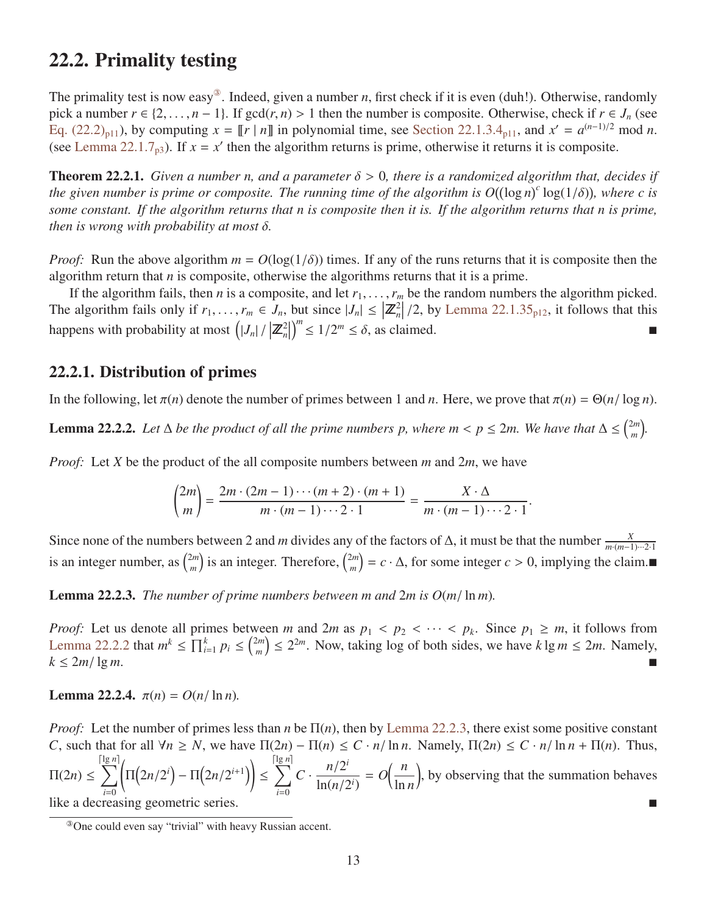# 22.2. Primality testing

The primality test is now easy<sup>3</sup>. Indeed, given a number *n*, first check if it is even (duh!). Otherwise, randomly pick a number  $r \in \{2, \ldots, n-1\}$ . If  $gcd(r, n) > 1$  then the number is composite. Otherwise, check if  $r \in J_n$  (see Eq.  $(22.2)_{p11}$  $(22.2)_{p11}$  $(22.2)_{p11}$ , by computing  $x = \llbracket r \mid n \rrbracket$  in polynomial time, see [Section 22.1.3.4](#page-10-3)<sub>p11</sub>, and  $x' = a^{(n-1)/2} \mod n$ . (see [Lemma 22.1.7](#page-2-2)<sub>[p3](#page-2-2)</sub>). If  $x = x'$  then the algorithm returns is prime, otherwise it returns it is composite.

Theorem 22.2.1. *Given a number n, and a parameter* δ > <sup>0</sup>*, there is a randomized algorithm that, decides if the given number is prime or composite. The running time of the algorithm is*  $O((\log n)^c \log(1/\delta))$ *, where c is*<br>some constant. If the algorithm returns that n is composite then it is. If the algorithm returns that n is prime *some constant. If the algorithm returns that n is composite then it is. If the algorithm returns that n is prime, then is wrong with probability at most* δ*.*

*Proof:* Run the above algorithm  $m = O(\log(1/\delta))$  times. If any of the runs returns that it is composite then the algorithm return that  $n$  is composite, otherwise the algorithms returns that it is a prime.

If the algorithm fails, then *n* is a composite, and let  $r_1, \ldots, r_m$  be the random numbers the algorithm picked. The algorithm fails only if  $r_1, \ldots, r_m \in J_n$ , but since  $|J_n| \leq |\mathbb{Z}_n^2|/2$ , by [Lemma 22.1.35](#page-11-0)<sub>[p12](#page-11-0)</sub>, it follows that this happens with probability at most  $(|J_n|/|\mathbb{Z}_n^2|)$  $\int_{0}^{m} \leq 1/2^{m} \leq \delta$ , as claimed.

### 22.2.1. Distribution of primes

<span id="page-12-1"></span>In the following, let  $\pi(n)$  denote the number of primes between 1 and *n*. Here, we prove that  $\pi(n) = \Theta(n/\log n)$ .

**Lemma 22.2.2.** Let  $\Delta$  be the product of all the prime numbers p, where  $m < p \le 2m$ . We have that  $\Delta \le {2m \choose m}$ *m .*

*Proof:* Let *X* be the product of the all composite numbers between *m* and 2*m*, we have

$$
\binom{2m}{m} = \frac{2m \cdot (2m-1) \cdots (m+2) \cdot (m+1)}{m \cdot (m-1) \cdots 2 \cdot 1} = \frac{X \cdot \Delta}{m \cdot (m-1) \cdots 2 \cdot 1}.
$$

Since none of the numbers between 2 and *m* divides any of the factors of  $\Delta$ , it must be that the number  $\frac{X}{m \cdot (m-1)\cdots 2\cdot 1}$ is an integer number, as  $\binom{2m}{m}$  $\binom{2m}{m}$  is an integer. Therefore,  $\binom{2m}{m}$  $\binom{2m}{m}$  = *c* · ∆, for some integer *c* > 0, implying the claim.

<span id="page-12-2"></span>**Lemma 22.2.3.** *The number of prime numbers between m and 2m is*  $O(m/\ln m)$ *.* 

*Proof:* Let us denote all primes between *m* and 2*m* as  $p_1 < p_2 < \cdots < p_k$ . Since  $p_1 \ge m$ , it follows from Lemma 22.2.2 that  $m^k < \prod_{k=1}^k p_k < 2^{2m}$ . Now taking log of both sides, we have  $k \log m < 2m$ . Namely [Lemma 22.2.2](#page-12-1) that  $m^k \le \prod_{i=1}^k p_i \le \binom{2m}{m}$  $\binom{2m}{m} \leq 2^{2m}$ . Now, taking log of both sides, we have  $k \lg m \leq 2m$ . Namely,  $k \leq 2m/\lg m$ .

Lemma 22.2.4.  $\pi(n) = O(n/\ln n)$ .

*Proof:* Let the number of primes less than *n* be Π(*n*), then by [Lemma 22.2.3,](#page-12-2) there exist some positive constant *C*, such that for all  $\forall n \ge N$ , we have  $\Pi(2n) - \Pi(n) \le C \cdot n / \ln n$ . Namely,  $\Pi(2n) \le C \cdot n / \ln n + \Pi(n)$ . Thus,  $\Pi(2n) \leq$  lg *n*  $\sum$ *i*=0 ĺ  $\Pi(2n/2^{i}) - \Pi(2n/2^{i+1})\n\bigg)$ ≤  $\lceil \lg n \rceil$  $\sum$ *i*=0  $C \cdot \frac{n/2^{i}}{\ln(n/2)}$  $ln(n/2^i)$  $= O\left(\frac{n}{2}\right)$ ln *n* , by observing that the summation behaves like a decreasing geometric series.

<span id="page-12-3"></span><span id="page-12-0"></span><sup>③</sup>One could even say "trivial" with heavy Russian accent.